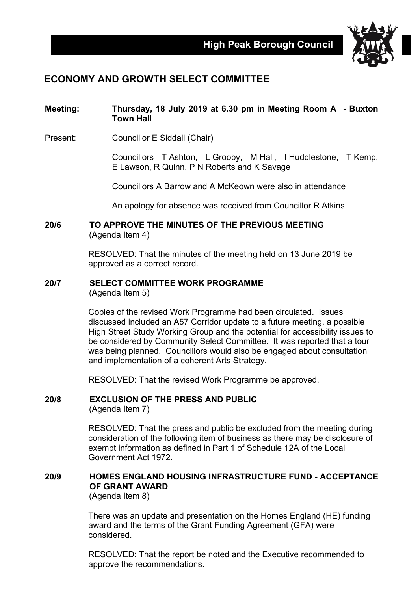

## **ECONOMY AND GROWTH SELECT COMMITTEE**

### **Meeting: Thursday, 18 July 2019 at 6.30 pm in Meeting Room A - Buxton Town Hall**

Present: Councillor E Siddall (Chair)

Councillors T Ashton, L Grooby, M Hall, I Huddlestone, T Kemp, E Lawson, R Quinn, P N Roberts and K Savage

Councillors A Barrow and A McKeown were also in attendance

An apology for absence was received from Councillor R Atkins

### **20/6 TO APPROVE THE MINUTES OF THE PREVIOUS MEETING** (Agenda Item 4)

RESOLVED: That the minutes of the meeting held on 13 June 2019 be approved as a correct record.

# **20/7 SELECT COMMITTEE WORK PROGRAMME**

(Agenda Item 5)

Copies of the revised Work Programme had been circulated. Issues discussed included an A57 Corridor update to a future meeting, a possible High Street Study Working Group and the potential for accessibility issues to be considered by Community Select Committee. It was reported that a tour was being planned. Councillors would also be engaged about consultation and implementation of a coherent Arts Strategy.

RESOLVED: That the revised Work Programme be approved.

#### **20/8 EXCLUSION OF THE PRESS AND PUBLIC** (Agenda Item 7)

RESOLVED: That the press and public be excluded from the meeting during consideration of the following item of business as there may be disclosure of exempt information as defined in Part 1 of Schedule 12A of the Local Government Act 1972.

# **20/9 HOMES ENGLAND HOUSING INFRASTRUCTURE FUND - ACCEPTANCE OF GRANT AWARD**

(Agenda Item 8)

There was an update and presentation on the Homes England (HE) funding award and the terms of the Grant Funding Agreement (GFA) were considered.

RESOLVED: That the report be noted and the Executive recommended to approve the recommendations.